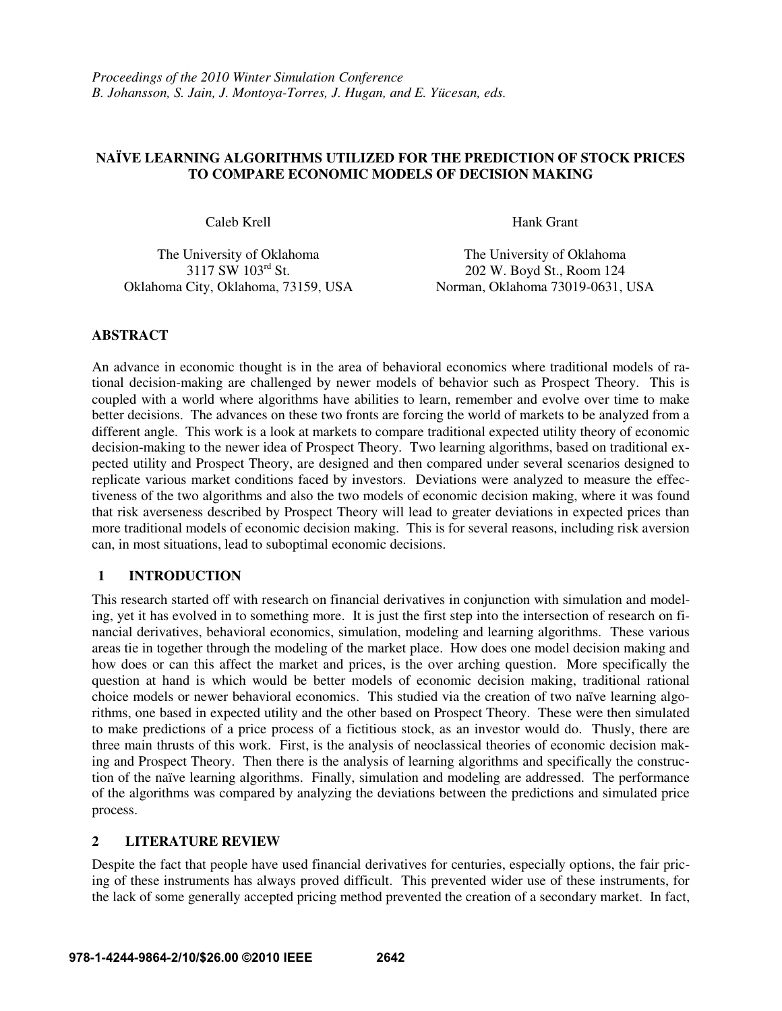# **NAÏVE LEARNING ALGORITHMS UTILIZED FOR THE PREDICTION OF STOCK PRICES TO COMPARE ECONOMIC MODELS OF DECISION MAKING**

Caleb Krell Hank Grant

The University of Oklahoma<br>
3117 SW 103<sup>rd</sup> St. 202 W. Boyd St., Room 124 Oklahoma City, Oklahoma, 73159, USA

202 W. Boyd St., Room 124<br>Norman, Oklahoma 73019-0631, USA

# **ABSTRACT**

An advance in economic thought is in the area of behavioral economics where traditional models of rational decision-making are challenged by newer models of behavior such as Prospect Theory. This is coupled with a world where algorithms have abilities to learn, remember and evolve over time to make better decisions. The advances on these two fronts are forcing the world of markets to be analyzed from a different angle. This work is a look at markets to compare traditional expected utility theory of economic decision-making to the newer idea of Prospect Theory. Two learning algorithms, based on traditional expected utility and Prospect Theory, are designed and then compared under several scenarios designed to replicate various market conditions faced by investors. Deviations were analyzed to measure the effectiveness of the two algorithms and also the two models of economic decision making, where it was found that risk averseness described by Prospect Theory will lead to greater deviations in expected prices than more traditional models of economic decision making. This is for several reasons, including risk aversion can, in most situations, lead to suboptimal economic decisions.

# **1 INTRODUCTION**

This research started off with research on financial derivatives in conjunction with simulation and modeling, yet it has evolved in to something more. It is just the first step into the intersection of research on financial derivatives, behavioral economics, simulation, modeling and learning algorithms. These various areas tie in together through the modeling of the market place. How does one model decision making and how does or can this affect the market and prices, is the over arching question. More specifically the question at hand is which would be better models of economic decision making, traditional rational choice models or newer behavioral economics. This studied via the creation of two naïve learning algorithms, one based in expected utility and the other based on Prospect Theory. These were then simulated to make predictions of a price process of a fictitious stock, as an investor would do. Thusly, there are three main thrusts of this work. First, is the analysis of neoclassical theories of economic decision making and Prospect Theory. Then there is the analysis of learning algorithms and specifically the construction of the naïve learning algorithms. Finally, simulation and modeling are addressed. The performance of the algorithms was compared by analyzing the deviations between the predictions and simulated price process.

# **2 LITERATURE REVIEW**

Despite the fact that people have used financial derivatives for centuries, especially options, the fair pricing of these instruments has always proved difficult. This prevented wider use of these instruments, for the lack of some generally accepted pricing method prevented the creation of a secondary market. In fact,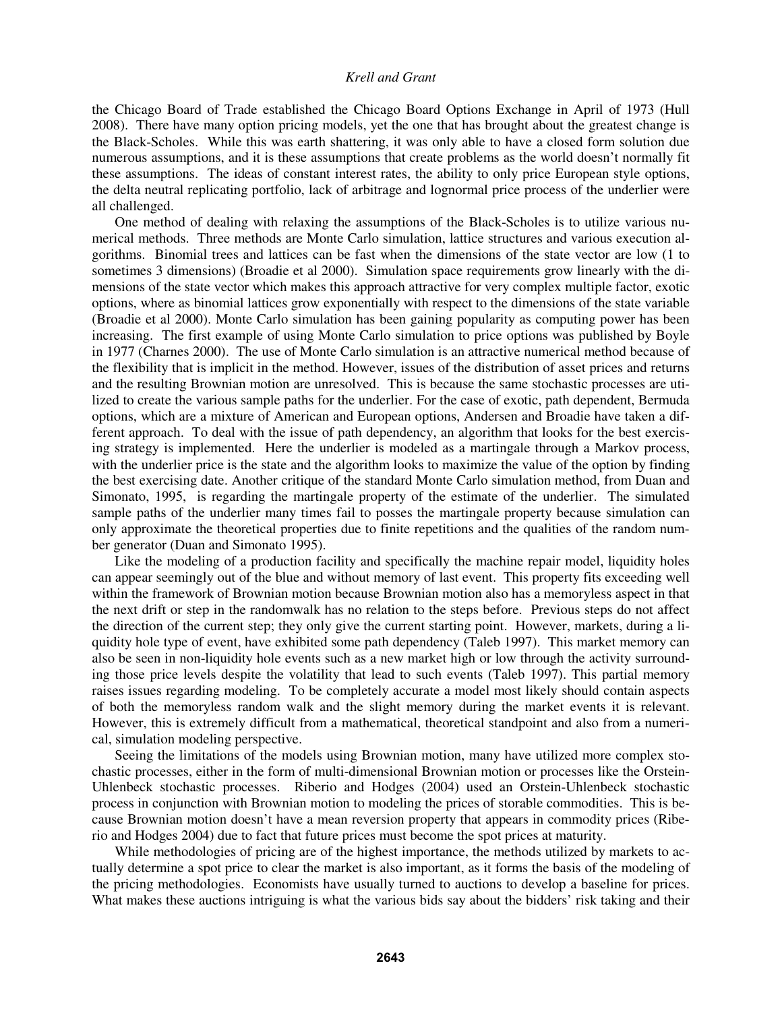the Chicago Board of Trade established the Chicago Board Options Exchange in April of 1973 (Hull 2008). There have many option pricing models, yet the one that has brought about the greatest change is the Black-Scholes. While this was earth shattering, it was only able to have a closed form solution due numerous assumptions, and it is these assumptions that create problems as the world doesn't normally fit these assumptions. The ideas of constant interest rates, the ability to only price European style options, the delta neutral replicating portfolio, lack of arbitrage and lognormal price process of the underlier were all challenged.

 One method of dealing with relaxing the assumptions of the Black-Scholes is to utilize various numerical methods. Three methods are Monte Carlo simulation, lattice structures and various execution algorithms. Binomial trees and lattices can be fast when the dimensions of the state vector are low (1 to sometimes 3 dimensions) (Broadie et al 2000). Simulation space requirements grow linearly with the dimensions of the state vector which makes this approach attractive for very complex multiple factor, exotic options, where as binomial lattices grow exponentially with respect to the dimensions of the state variable (Broadie et al 2000). Monte Carlo simulation has been gaining popularity as computing power has been increasing. The first example of using Monte Carlo simulation to price options was published by Boyle in 1977 (Charnes 2000). The use of Monte Carlo simulation is an attractive numerical method because of the flexibility that is implicit in the method. However, issues of the distribution of asset prices and returns and the resulting Brownian motion are unresolved. This is because the same stochastic processes are utilized to create the various sample paths for the underlier. For the case of exotic, path dependent, Bermuda options, which are a mixture of American and European options, Andersen and Broadie have taken a different approach. To deal with the issue of path dependency, an algorithm that looks for the best exercising strategy is implemented. Here the underlier is modeled as a martingale through a Markov process, with the underlier price is the state and the algorithm looks to maximize the value of the option by finding the best exercising date. Another critique of the standard Monte Carlo simulation method, from Duan and Simonato, 1995, is regarding the martingale property of the estimate of the underlier. The simulated sample paths of the underlier many times fail to posses the martingale property because simulation can only approximate the theoretical properties due to finite repetitions and the qualities of the random number generator (Duan and Simonato 1995).

 Like the modeling of a production facility and specifically the machine repair model, liquidity holes can appear seemingly out of the blue and without memory of last event. This property fits exceeding well within the framework of Brownian motion because Brownian motion also has a memoryless aspect in that the next drift or step in the randomwalk has no relation to the steps before. Previous steps do not affect the direction of the current step; they only give the current starting point. However, markets, during a liquidity hole type of event, have exhibited some path dependency (Taleb 1997). This market memory can also be seen in non-liquidity hole events such as a new market high or low through the activity surrounding those price levels despite the volatility that lead to such events (Taleb 1997). This partial memory raises issues regarding modeling. To be completely accurate a model most likely should contain aspects of both the memoryless random walk and the slight memory during the market events it is relevant. However, this is extremely difficult from a mathematical, theoretical standpoint and also from a numerical, simulation modeling perspective.

 Seeing the limitations of the models using Brownian motion, many have utilized more complex stochastic processes, either in the form of multi-dimensional Brownian motion or processes like the Orstein-Uhlenbeck stochastic processes. Riberio and Hodges (2004) used an Orstein-Uhlenbeck stochastic process in conjunction with Brownian motion to modeling the prices of storable commodities. This is because Brownian motion doesn't have a mean reversion property that appears in commodity prices (Riberio and Hodges 2004) due to fact that future prices must become the spot prices at maturity.

While methodologies of pricing are of the highest importance, the methods utilized by markets to actually determine a spot price to clear the market is also important, as it forms the basis of the modeling of the pricing methodologies. Economists have usually turned to auctions to develop a baseline for prices. What makes these auctions intriguing is what the various bids say about the bidders' risk taking and their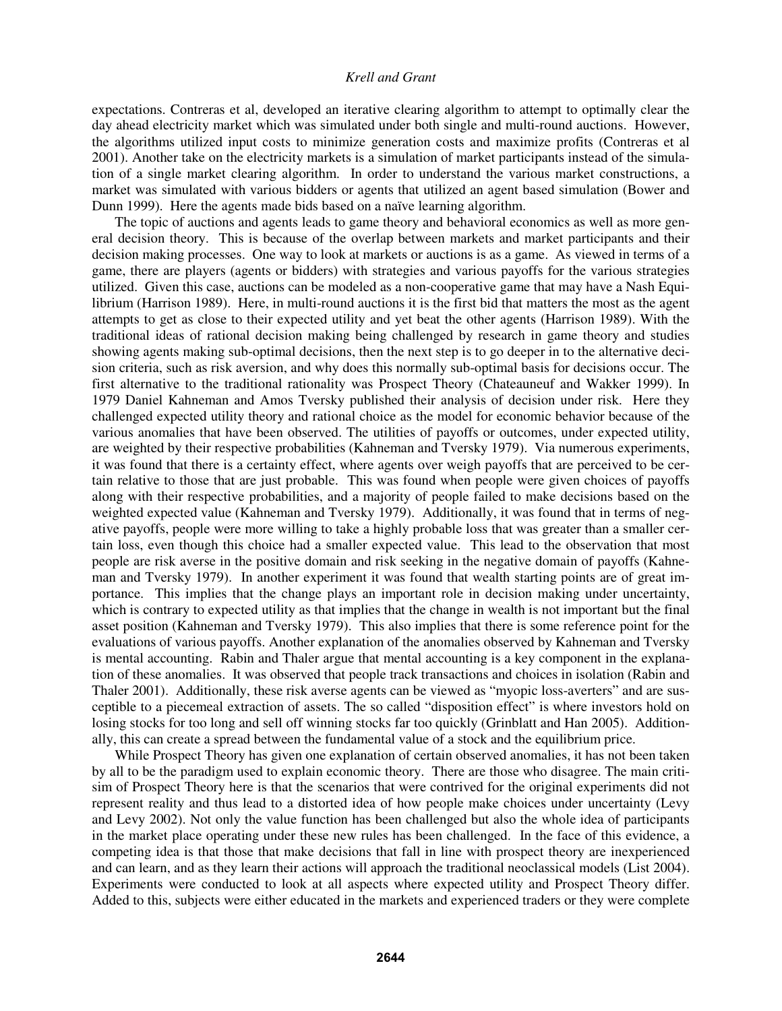expectations. Contreras et al, developed an iterative clearing algorithm to attempt to optimally clear the day ahead electricity market which was simulated under both single and multi-round auctions. However, the algorithms utilized input costs to minimize generation costs and maximize profits (Contreras et al 2001). Another take on the electricity markets is a simulation of market participants instead of the simulation of a single market clearing algorithm. In order to understand the various market constructions, a market was simulated with various bidders or agents that utilized an agent based simulation (Bower and Dunn 1999). Here the agents made bids based on a naïve learning algorithm.

 The topic of auctions and agents leads to game theory and behavioral economics as well as more general decision theory. This is because of the overlap between markets and market participants and their decision making processes. One way to look at markets or auctions is as a game. As viewed in terms of a game, there are players (agents or bidders) with strategies and various payoffs for the various strategies utilized. Given this case, auctions can be modeled as a non-cooperative game that may have a Nash Equilibrium (Harrison 1989). Here, in multi-round auctions it is the first bid that matters the most as the agent attempts to get as close to their expected utility and yet beat the other agents (Harrison 1989). With the traditional ideas of rational decision making being challenged by research in game theory and studies showing agents making sub-optimal decisions, then the next step is to go deeper in to the alternative decision criteria, such as risk aversion, and why does this normally sub-optimal basis for decisions occur. The first alternative to the traditional rationality was Prospect Theory (Chateauneuf and Wakker 1999). In 1979 Daniel Kahneman and Amos Tversky published their analysis of decision under risk. Here they challenged expected utility theory and rational choice as the model for economic behavior because of the various anomalies that have been observed. The utilities of payoffs or outcomes, under expected utility, are weighted by their respective probabilities (Kahneman and Tversky 1979). Via numerous experiments, it was found that there is a certainty effect, where agents over weigh payoffs that are perceived to be certain relative to those that are just probable. This was found when people were given choices of payoffs along with their respective probabilities, and a majority of people failed to make decisions based on the weighted expected value (Kahneman and Tversky 1979). Additionally, it was found that in terms of negative payoffs, people were more willing to take a highly probable loss that was greater than a smaller certain loss, even though this choice had a smaller expected value. This lead to the observation that most people are risk averse in the positive domain and risk seeking in the negative domain of payoffs (Kahneman and Tversky 1979). In another experiment it was found that wealth starting points are of great importance. This implies that the change plays an important role in decision making under uncertainty, which is contrary to expected utility as that implies that the change in wealth is not important but the final asset position (Kahneman and Tversky 1979). This also implies that there is some reference point for the evaluations of various payoffs. Another explanation of the anomalies observed by Kahneman and Tversky is mental accounting. Rabin and Thaler argue that mental accounting is a key component in the explanation of these anomalies. It was observed that people track transactions and choices in isolation (Rabin and Thaler 2001). Additionally, these risk averse agents can be viewed as "myopic loss-averters" and are susceptible to a piecemeal extraction of assets. The so called "disposition effect" is where investors hold on losing stocks for too long and sell off winning stocks far too quickly (Grinblatt and Han 2005). Additionally, this can create a spread between the fundamental value of a stock and the equilibrium price.

 While Prospect Theory has given one explanation of certain observed anomalies, it has not been taken by all to be the paradigm used to explain economic theory. There are those who disagree. The main critisim of Prospect Theory here is that the scenarios that were contrived for the original experiments did not represent reality and thus lead to a distorted idea of how people make choices under uncertainty (Levy and Levy 2002). Not only the value function has been challenged but also the whole idea of participants in the market place operating under these new rules has been challenged. In the face of this evidence, a competing idea is that those that make decisions that fall in line with prospect theory are inexperienced and can learn, and as they learn their actions will approach the traditional neoclassical models (List 2004). Experiments were conducted to look at all aspects where expected utility and Prospect Theory differ. Added to this, subjects were either educated in the markets and experienced traders or they were complete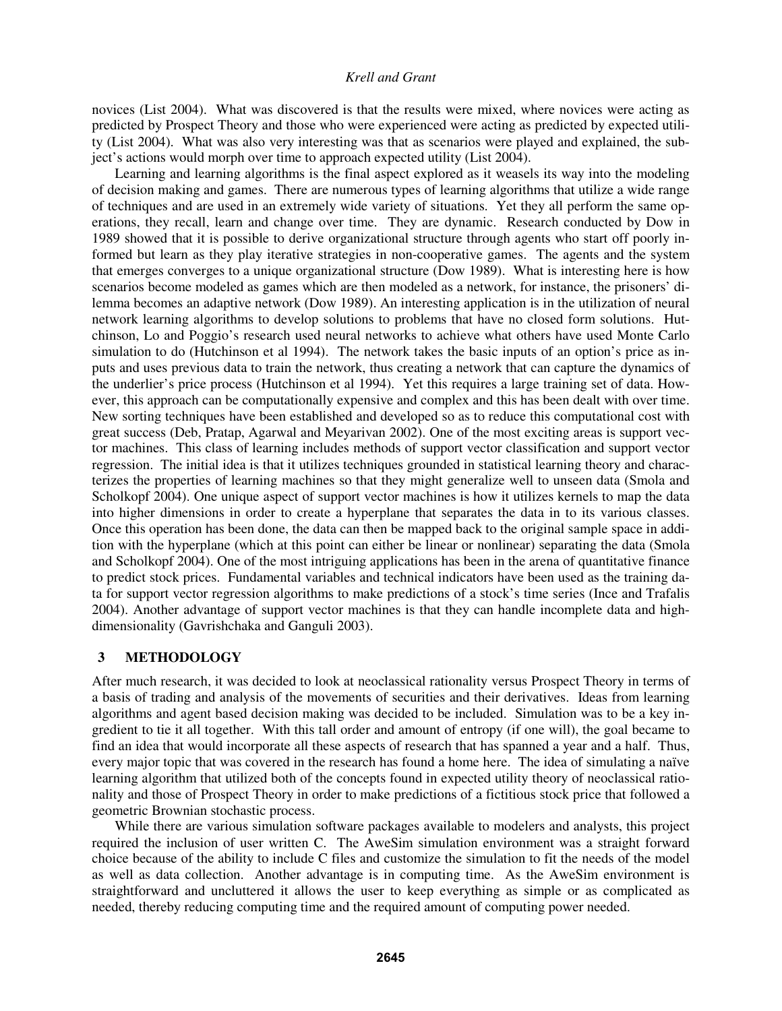novices (List 2004). What was discovered is that the results were mixed, where novices were acting as predicted by Prospect Theory and those who were experienced were acting as predicted by expected utility (List 2004). What was also very interesting was that as scenarios were played and explained, the subject's actions would morph over time to approach expected utility (List 2004).

 Learning and learning algorithms is the final aspect explored as it weasels its way into the modeling of decision making and games. There are numerous types of learning algorithms that utilize a wide range of techniques and are used in an extremely wide variety of situations. Yet they all perform the same operations, they recall, learn and change over time. They are dynamic. Research conducted by Dow in 1989 showed that it is possible to derive organizational structure through agents who start off poorly informed but learn as they play iterative strategies in non-cooperative games. The agents and the system that emerges converges to a unique organizational structure (Dow 1989). What is interesting here is how scenarios become modeled as games which are then modeled as a network, for instance, the prisoners' dilemma becomes an adaptive network (Dow 1989). An interesting application is in the utilization of neural network learning algorithms to develop solutions to problems that have no closed form solutions. Hutchinson, Lo and Poggio's research used neural networks to achieve what others have used Monte Carlo simulation to do (Hutchinson et al 1994). The network takes the basic inputs of an option's price as inputs and uses previous data to train the network, thus creating a network that can capture the dynamics of the underlier's price process (Hutchinson et al 1994). Yet this requires a large training set of data. However, this approach can be computationally expensive and complex and this has been dealt with over time. New sorting techniques have been established and developed so as to reduce this computational cost with great success (Deb, Pratap, Agarwal and Meyarivan 2002). One of the most exciting areas is support vector machines. This class of learning includes methods of support vector classification and support vector regression. The initial idea is that it utilizes techniques grounded in statistical learning theory and characterizes the properties of learning machines so that they might generalize well to unseen data (Smola and Scholkopf 2004). One unique aspect of support vector machines is how it utilizes kernels to map the data into higher dimensions in order to create a hyperplane that separates the data in to its various classes. Once this operation has been done, the data can then be mapped back to the original sample space in addition with the hyperplane (which at this point can either be linear or nonlinear) separating the data (Smola and Scholkopf 2004). One of the most intriguing applications has been in the arena of quantitative finance to predict stock prices. Fundamental variables and technical indicators have been used as the training data for support vector regression algorithms to make predictions of a stock's time series (Ince and Trafalis 2004). Another advantage of support vector machines is that they can handle incomplete data and highdimensionality (Gavrishchaka and Ganguli 2003).

### **3 METHODOLOGY**

After much research, it was decided to look at neoclassical rationality versus Prospect Theory in terms of a basis of trading and analysis of the movements of securities and their derivatives. Ideas from learning algorithms and agent based decision making was decided to be included. Simulation was to be a key ingredient to tie it all together. With this tall order and amount of entropy (if one will), the goal became to find an idea that would incorporate all these aspects of research that has spanned a year and a half. Thus, every major topic that was covered in the research has found a home here. The idea of simulating a naïve learning algorithm that utilized both of the concepts found in expected utility theory of neoclassical rationality and those of Prospect Theory in order to make predictions of a fictitious stock price that followed a geometric Brownian stochastic process.

 While there are various simulation software packages available to modelers and analysts, this project required the inclusion of user written C. The AweSim simulation environment was a straight forward choice because of the ability to include C files and customize the simulation to fit the needs of the model as well as data collection. Another advantage is in computing time. As the AweSim environment is straightforward and uncluttered it allows the user to keep everything as simple or as complicated as needed, thereby reducing computing time and the required amount of computing power needed.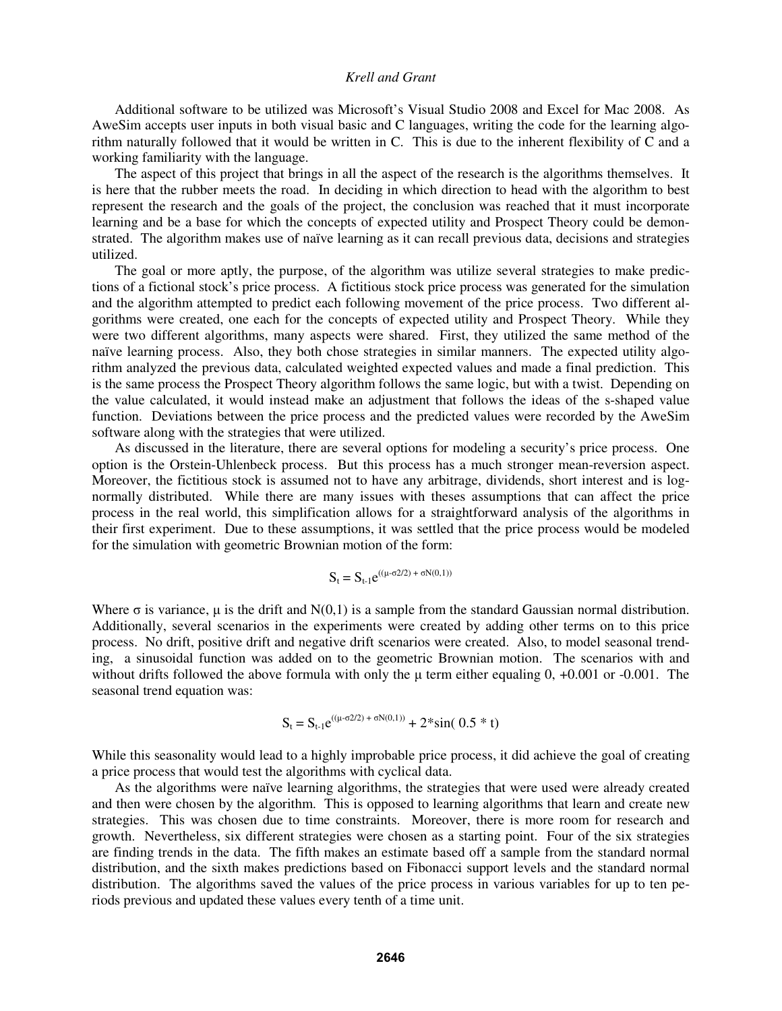Additional software to be utilized was Microsoft's Visual Studio 2008 and Excel for Mac 2008. As AweSim accepts user inputs in both visual basic and C languages, writing the code for the learning algorithm naturally followed that it would be written in C. This is due to the inherent flexibility of C and a working familiarity with the language.

 The aspect of this project that brings in all the aspect of the research is the algorithms themselves. It is here that the rubber meets the road. In deciding in which direction to head with the algorithm to best represent the research and the goals of the project, the conclusion was reached that it must incorporate learning and be a base for which the concepts of expected utility and Prospect Theory could be demonstrated. The algorithm makes use of naïve learning as it can recall previous data, decisions and strategies utilized.

 The goal or more aptly, the purpose, of the algorithm was utilize several strategies to make predictions of a fictional stock's price process. A fictitious stock price process was generated for the simulation and the algorithm attempted to predict each following movement of the price process. Two different algorithms were created, one each for the concepts of expected utility and Prospect Theory. While they were two different algorithms, many aspects were shared. First, they utilized the same method of the naïve learning process. Also, they both chose strategies in similar manners. The expected utility algorithm analyzed the previous data, calculated weighted expected values and made a final prediction. This is the same process the Prospect Theory algorithm follows the same logic, but with a twist. Depending on the value calculated, it would instead make an adjustment that follows the ideas of the s-shaped value function. Deviations between the price process and the predicted values were recorded by the AweSim software along with the strategies that were utilized.

 As discussed in the literature, there are several options for modeling a security's price process. One option is the Orstein-Uhlenbeck process. But this process has a much stronger mean-reversion aspect. Moreover, the fictitious stock is assumed not to have any arbitrage, dividends, short interest and is lognormally distributed. While there are many issues with theses assumptions that can affect the price process in the real world, this simplification allows for a straightforward analysis of the algorithms in their first experiment. Due to these assumptions, it was settled that the price process would be modeled for the simulation with geometric Brownian motion of the form:

$$
S_t = S_{t-1}e^{((\mu - \sigma 2/2) + \sigma N(0, 1))}
$$

Where  $\sigma$  is variance,  $\mu$  is the drift and N(0,1) is a sample from the standard Gaussian normal distribution. Additionally, several scenarios in the experiments were created by adding other terms on to this price process. No drift, positive drift and negative drift scenarios were created. Also, to model seasonal trending, a sinusoidal function was added on to the geometric Brownian motion. The scenarios with and without drifts followed the above formula with only the  $\mu$  term either equaling 0, +0.001 or -0.001. The seasonal trend equation was:

$$
S_t = S_{t-1}e^{((\mu - \sigma 2/2) + \sigma N(0,1))} + 2*sin(0.5*t)
$$

While this seasonality would lead to a highly improbable price process, it did achieve the goal of creating a price process that would test the algorithms with cyclical data.

 As the algorithms were naïve learning algorithms, the strategies that were used were already created and then were chosen by the algorithm. This is opposed to learning algorithms that learn and create new strategies. This was chosen due to time constraints. Moreover, there is more room for research and growth. Nevertheless, six different strategies were chosen as a starting point. Four of the six strategies are finding trends in the data. The fifth makes an estimate based off a sample from the standard normal distribution, and the sixth makes predictions based on Fibonacci support levels and the standard normal distribution. The algorithms saved the values of the price process in various variables for up to ten periods previous and updated these values every tenth of a time unit.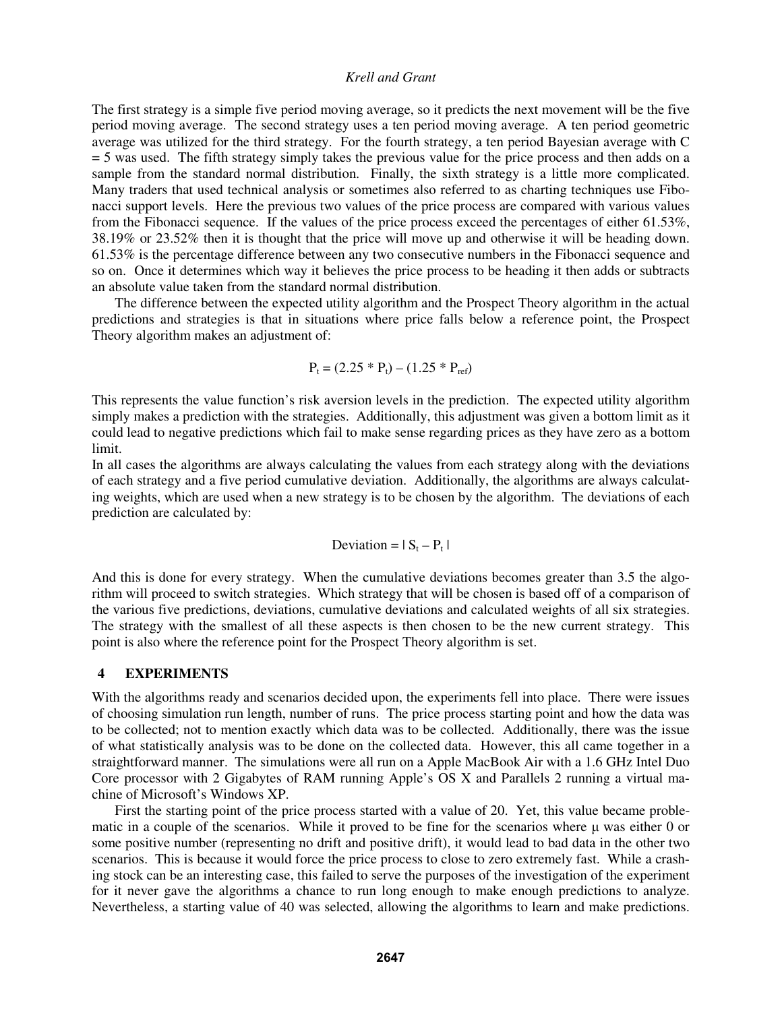The first strategy is a simple five period moving average, so it predicts the next movement will be the five period moving average. The second strategy uses a ten period moving average. A ten period geometric average was utilized for the third strategy. For the fourth strategy, a ten period Bayesian average with C  $=$  5 was used. The fifth strategy simply takes the previous value for the price process and then adds on a sample from the standard normal distribution. Finally, the sixth strategy is a little more complicated. Many traders that used technical analysis or sometimes also referred to as charting techniques use Fibonacci support levels. Here the previous two values of the price process are compared with various values from the Fibonacci sequence. If the values of the price process exceed the percentages of either 61.53%, 38.19% or 23.52% then it is thought that the price will move up and otherwise it will be heading down. 61.53% is the percentage difference between any two consecutive numbers in the Fibonacci sequence and so on. Once it determines which way it believes the price process to be heading it then adds or subtracts an absolute value taken from the standard normal distribution.

 The difference between the expected utility algorithm and the Prospect Theory algorithm in the actual predictions and strategies is that in situations where price falls below a reference point, the Prospect Theory algorithm makes an adjustment of:

$$
P_t = (2.25 * P_t) - (1.25 * P_{ref})
$$

This represents the value function's risk aversion levels in the prediction. The expected utility algorithm simply makes a prediction with the strategies. Additionally, this adjustment was given a bottom limit as it could lead to negative predictions which fail to make sense regarding prices as they have zero as a bottom limit.

In all cases the algorithms are always calculating the values from each strategy along with the deviations of each strategy and a five period cumulative deviation. Additionally, the algorithms are always calculating weights, which are used when a new strategy is to be chosen by the algorithm. The deviations of each prediction are calculated by:

$$
Deviation = |S_t - P_t|
$$

And this is done for every strategy. When the cumulative deviations becomes greater than 3.5 the algorithm will proceed to switch strategies. Which strategy that will be chosen is based off of a comparison of the various five predictions, deviations, cumulative deviations and calculated weights of all six strategies. The strategy with the smallest of all these aspects is then chosen to be the new current strategy. This point is also where the reference point for the Prospect Theory algorithm is set.

#### **4 EXPERIMENTS**

With the algorithms ready and scenarios decided upon, the experiments fell into place. There were issues of choosing simulation run length, number of runs. The price process starting point and how the data was to be collected; not to mention exactly which data was to be collected. Additionally, there was the issue of what statistically analysis was to be done on the collected data. However, this all came together in a straightforward manner. The simulations were all run on a Apple MacBook Air with a 1.6 GHz Intel Duo Core processor with 2 Gigabytes of RAM running Apple's OS X and Parallels 2 running a virtual machine of Microsoft's Windows XP.

 First the starting point of the price process started with a value of 20. Yet, this value became problematic in a couple of the scenarios. While it proved to be fine for the scenarios where  $\mu$  was either 0 or some positive number (representing no drift and positive drift), it would lead to bad data in the other two scenarios. This is because it would force the price process to close to zero extremely fast. While a crashing stock can be an interesting case, this failed to serve the purposes of the investigation of the experiment for it never gave the algorithms a chance to run long enough to make enough predictions to analyze. Nevertheless, a starting value of 40 was selected, allowing the algorithms to learn and make predictions.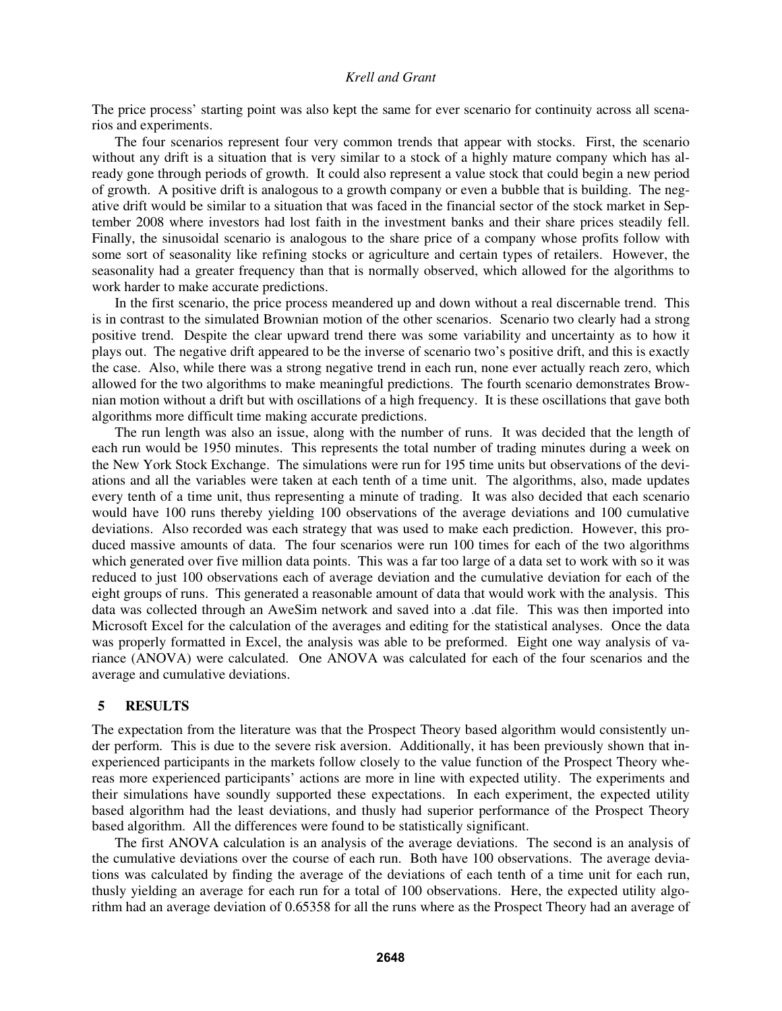The price process' starting point was also kept the same for ever scenario for continuity across all scenarios and experiments.

 The four scenarios represent four very common trends that appear with stocks. First, the scenario without any drift is a situation that is very similar to a stock of a highly mature company which has already gone through periods of growth. It could also represent a value stock that could begin a new period of growth. A positive drift is analogous to a growth company or even a bubble that is building. The negative drift would be similar to a situation that was faced in the financial sector of the stock market in September 2008 where investors had lost faith in the investment banks and their share prices steadily fell. Finally, the sinusoidal scenario is analogous to the share price of a company whose profits follow with some sort of seasonality like refining stocks or agriculture and certain types of retailers. However, the seasonality had a greater frequency than that is normally observed, which allowed for the algorithms to work harder to make accurate predictions.

 In the first scenario, the price process meandered up and down without a real discernable trend. This is in contrast to the simulated Brownian motion of the other scenarios. Scenario two clearly had a strong positive trend. Despite the clear upward trend there was some variability and uncertainty as to how it plays out. The negative drift appeared to be the inverse of scenario two's positive drift, and this is exactly the case. Also, while there was a strong negative trend in each run, none ever actually reach zero, which allowed for the two algorithms to make meaningful predictions. The fourth scenario demonstrates Brownian motion without a drift but with oscillations of a high frequency. It is these oscillations that gave both algorithms more difficult time making accurate predictions.

 The run length was also an issue, along with the number of runs. It was decided that the length of each run would be 1950 minutes. This represents the total number of trading minutes during a week on the New York Stock Exchange. The simulations were run for 195 time units but observations of the deviations and all the variables were taken at each tenth of a time unit. The algorithms, also, made updates every tenth of a time unit, thus representing a minute of trading. It was also decided that each scenario would have 100 runs thereby yielding 100 observations of the average deviations and 100 cumulative deviations. Also recorded was each strategy that was used to make each prediction. However, this produced massive amounts of data. The four scenarios were run 100 times for each of the two algorithms which generated over five million data points. This was a far too large of a data set to work with so it was reduced to just 100 observations each of average deviation and the cumulative deviation for each of the eight groups of runs. This generated a reasonable amount of data that would work with the analysis. This data was collected through an AweSim network and saved into a .dat file. This was then imported into Microsoft Excel for the calculation of the averages and editing for the statistical analyses. Once the data was properly formatted in Excel, the analysis was able to be preformed. Eight one way analysis of variance (ANOVA) were calculated. One ANOVA was calculated for each of the four scenarios and the average and cumulative deviations.

### **5 RESULTS**

The expectation from the literature was that the Prospect Theory based algorithm would consistently under perform. This is due to the severe risk aversion. Additionally, it has been previously shown that inexperienced participants in the markets follow closely to the value function of the Prospect Theory whereas more experienced participants' actions are more in line with expected utility. The experiments and their simulations have soundly supported these expectations. In each experiment, the expected utility based algorithm had the least deviations, and thusly had superior performance of the Prospect Theory based algorithm. All the differences were found to be statistically significant.

 The first ANOVA calculation is an analysis of the average deviations. The second is an analysis of the cumulative deviations over the course of each run. Both have 100 observations. The average deviations was calculated by finding the average of the deviations of each tenth of a time unit for each run, thusly yielding an average for each run for a total of 100 observations. Here, the expected utility algorithm had an average deviation of 0.65358 for all the runs where as the Prospect Theory had an average of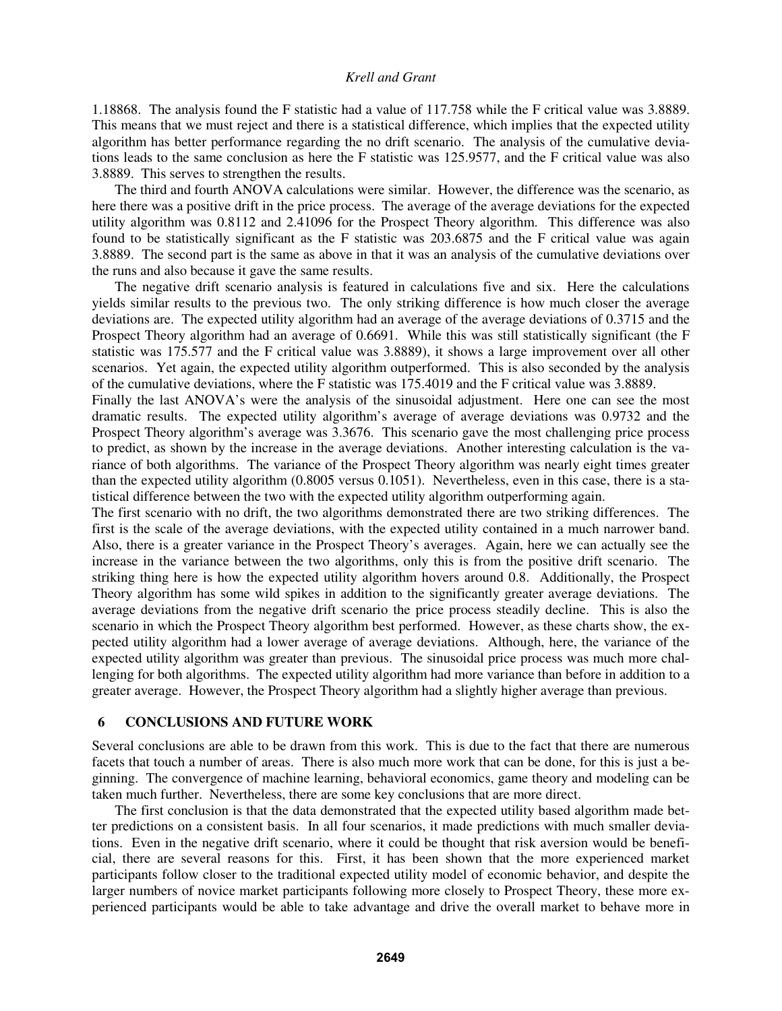1.18868. The analysis found the F statistic had a value of 117.758 while the F critical value was 3.8889. This means that we must reject and there is a statistical difference, which implies that the expected utility algorithm has better performance regarding the no drift scenario. The analysis of the cumulative deviations leads to the same conclusion as here the F statistic was 125.9577, and the F critical value was also 3.8889. This serves to strengthen the results.

 The third and fourth ANOVA calculations were similar. However, the difference was the scenario, as here there was a positive drift in the price process. The average of the average deviations for the expected utility algorithm was 0.8112 and 2.41096 for the Prospect Theory algorithm. This difference was also found to be statistically significant as the F statistic was 203.6875 and the F critical value was again 3.8889. The second part is the same as above in that it was an analysis of the cumulative deviations over the runs and also because it gave the same results.

 The negative drift scenario analysis is featured in calculations five and six. Here the calculations yields similar results to the previous two. The only striking difference is how much closer the average deviations are. The expected utility algorithm had an average of the average deviations of 0.3715 and the Prospect Theory algorithm had an average of 0.6691. While this was still statistically significant (the F statistic was 175.577 and the F critical value was 3.8889), it shows a large improvement over all other scenarios. Yet again, the expected utility algorithm outperformed. This is also seconded by the analysis of the cumulative deviations, where the F statistic was 175.4019 and the F critical value was 3.8889.

Finally the last ANOVA's were the analysis of the sinusoidal adjustment. Here one can see the most dramatic results. The expected utility algorithm's average of average deviations was 0.9732 and the Prospect Theory algorithm's average was 3.3676. This scenario gave the most challenging price process to predict, as shown by the increase in the average deviations. Another interesting calculation is the variance of both algorithms. The variance of the Prospect Theory algorithm was nearly eight times greater than the expected utility algorithm (0.8005 versus 0.1051). Nevertheless, even in this case, there is a statistical difference between the two with the expected utility algorithm outperforming again.

The first scenario with no drift, the two algorithms demonstrated there are two striking differences. The first is the scale of the average deviations, with the expected utility contained in a much narrower band. Also, there is a greater variance in the Prospect Theory's averages. Again, here we can actually see the increase in the variance between the two algorithms, only this is from the positive drift scenario. The striking thing here is how the expected utility algorithm hovers around 0.8. Additionally, the Prospect Theory algorithm has some wild spikes in addition to the significantly greater average deviations. The average deviations from the negative drift scenario the price process steadily decline. This is also the scenario in which the Prospect Theory algorithm best performed. However, as these charts show, the expected utility algorithm had a lower average of average deviations. Although, here, the variance of the expected utility algorithm was greater than previous. The sinusoidal price process was much more challenging for both algorithms. The expected utility algorithm had more variance than before in addition to a greater average. However, the Prospect Theory algorithm had a slightly higher average than previous.

#### **6 CONCLUSIONS AND FUTURE WORK**

Several conclusions are able to be drawn from this work. This is due to the fact that there are numerous facets that touch a number of areas. There is also much more work that can be done, for this is just a beginning. The convergence of machine learning, behavioral economics, game theory and modeling can be taken much further. Nevertheless, there are some key conclusions that are more direct.

 The first conclusion is that the data demonstrated that the expected utility based algorithm made better predictions on a consistent basis. In all four scenarios, it made predictions with much smaller deviations. Even in the negative drift scenario, where it could be thought that risk aversion would be beneficial, there are several reasons for this. First, it has been shown that the more experienced market participants follow closer to the traditional expected utility model of economic behavior, and despite the larger numbers of novice market participants following more closely to Prospect Theory, these more experienced participants would be able to take advantage and drive the overall market to behave more in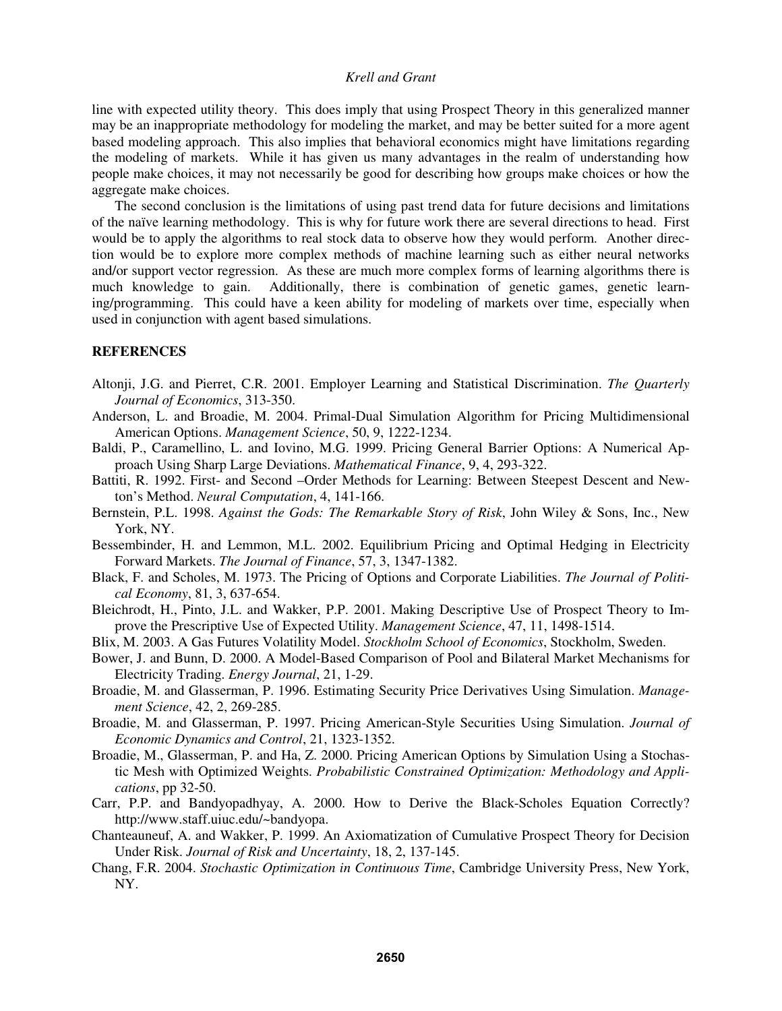line with expected utility theory. This does imply that using Prospect Theory in this generalized manner may be an inappropriate methodology for modeling the market, and may be better suited for a more agent based modeling approach. This also implies that behavioral economics might have limitations regarding the modeling of markets. While it has given us many advantages in the realm of understanding how people make choices, it may not necessarily be good for describing how groups make choices or how the aggregate make choices.

 The second conclusion is the limitations of using past trend data for future decisions and limitations of the naïve learning methodology. This is why for future work there are several directions to head. First would be to apply the algorithms to real stock data to observe how they would perform. Another direction would be to explore more complex methods of machine learning such as either neural networks and/or support vector regression. As these are much more complex forms of learning algorithms there is much knowledge to gain. Additionally, there is combination of genetic games, genetic learning/programming. This could have a keen ability for modeling of markets over time, especially when used in conjunction with agent based simulations.

## **REFERENCES**

- Altonji, J.G. and Pierret, C.R. 2001. Employer Learning and Statistical Discrimination. *The Quarterly Journal of Economics*, 313-350.
- Anderson, L. and Broadie, M. 2004. Primal-Dual Simulation Algorithm for Pricing Multidimensional American Options. *Management Science*, 50, 9, 1222-1234.
- Baldi, P., Caramellino, L. and Iovino, M.G. 1999. Pricing General Barrier Options: A Numerical Approach Using Sharp Large Deviations. *Mathematical Finance*, 9, 4, 293-322.
- Battiti, R. 1992. First- and Second –Order Methods for Learning: Between Steepest Descent and Newton's Method. *Neural Computation*, 4, 141-166.
- Bernstein, P.L. 1998. *Against the Gods: The Remarkable Story of Risk*, John Wiley & Sons, Inc., New York, NY.
- Bessembinder, H. and Lemmon, M.L. 2002. Equilibrium Pricing and Optimal Hedging in Electricity Forward Markets. *The Journal of Finance*, 57, 3, 1347-1382.
- Black, F. and Scholes, M. 1973. The Pricing of Options and Corporate Liabilities. *The Journal of Political Economy*, 81, 3, 637-654.
- Bleichrodt, H., Pinto, J.L. and Wakker, P.P. 2001. Making Descriptive Use of Prospect Theory to Improve the Prescriptive Use of Expected Utility. *Management Science*, 47, 11, 1498-1514.
- Blix, M. 2003. A Gas Futures Volatility Model. *Stockholm School of Economics*, Stockholm, Sweden.
- Bower, J. and Bunn, D. 2000. A Model-Based Comparison of Pool and Bilateral Market Mechanisms for Electricity Trading. *Energy Journal*, 21, 1-29.
- Broadie, M. and Glasserman, P. 1996. Estimating Security Price Derivatives Using Simulation. *Management Science*, 42, 2, 269-285.
- Broadie, M. and Glasserman, P. 1997. Pricing American-Style Securities Using Simulation. *Journal of Economic Dynamics and Control*, 21, 1323-1352.
- Broadie, M., Glasserman, P. and Ha, Z. 2000. Pricing American Options by Simulation Using a Stochastic Mesh with Optimized Weights. *Probabilistic Constrained Optimization: Methodology and Applications*, pp 32-50.
- Carr, P.P. and Bandyopadhyay, A. 2000. How to Derive the Black-Scholes Equation Correctly? http://www.staff.uiuc.edu/~bandyopa.
- Chanteauneuf, A. and Wakker, P. 1999. An Axiomatization of Cumulative Prospect Theory for Decision Under Risk. *Journal of Risk and Uncertainty*, 18, 2, 137-145.
- Chang, F.R. 2004. *Stochastic Optimization in Continuous Time*, Cambridge University Press, New York, NY.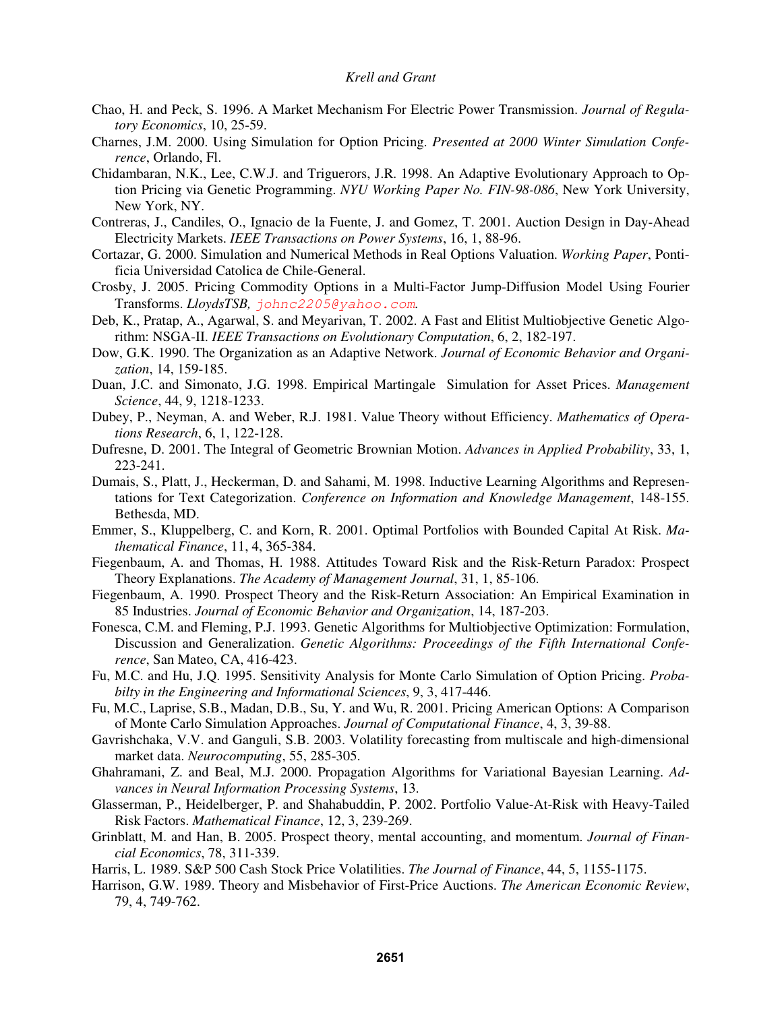- Chao, H. and Peck, S. 1996. A Market Mechanism For Electric Power Transmission. *Journal of Regulatory Economics*, 10, 25-59.
- Charnes, J.M. 2000. Using Simulation for Option Pricing. *Presented at 2000 Winter Simulation Conference*, Orlando, Fl.
- Chidambaran, N.K., Lee, C.W.J. and Triguerors, J.R. 1998. An Adaptive Evolutionary Approach to Option Pricing via Genetic Programming. *NYU Working Paper No. FIN-98-086*, New York University, New York, NY.
- Contreras, J., Candiles, O., Ignacio de la Fuente, J. and Gomez, T. 2001. Auction Design in Day-Ahead Electricity Markets. *IEEE Transactions on Power Systems*, 16, 1, 88-96.
- Cortazar, G. 2000. Simulation and Numerical Methods in Real Options Valuation. *Working Paper*, Pontificia Universidad Catolica de Chile-General.
- Crosby, J. 2005. Pricing Commodity Options in a Multi-Factor Jump-Diffusion Model Using Fourier Transforms. *LloydsTSB,* johnc2205@yahoo.com.
- Deb, K., Pratap, A., Agarwal, S. and Meyarivan, T. 2002. A Fast and Elitist Multiobjective Genetic Algorithm: NSGA-II. *IEEE Transactions on Evolutionary Computation*, 6, 2, 182-197.
- Dow, G.K. 1990. The Organization as an Adaptive Network. *Journal of Economic Behavior and Organization*, 14, 159-185.
- Duan, J.C. and Simonato, J.G. 1998. Empirical Martingale Simulation for Asset Prices. *Management Science*, 44, 9, 1218-1233.
- Dubey, P., Neyman, A. and Weber, R.J. 1981. Value Theory without Efficiency. *Mathematics of Operations Research*, 6, 1, 122-128.
- Dufresne, D. 2001. The Integral of Geometric Brownian Motion. *Advances in Applied Probability*, 33, 1, 223-241.
- Dumais, S., Platt, J., Heckerman, D. and Sahami, M. 1998. Inductive Learning Algorithms and Representations for Text Categorization. *Conference on Information and Knowledge Management*, 148-155. Bethesda, MD.
- Emmer, S., Kluppelberg, C. and Korn, R. 2001. Optimal Portfolios with Bounded Capital At Risk. *Mathematical Finance*, 11, 4, 365-384.
- Fiegenbaum, A. and Thomas, H. 1988. Attitudes Toward Risk and the Risk-Return Paradox: Prospect Theory Explanations. *The Academy of Management Journal*, 31, 1, 85-106.
- Fiegenbaum, A. 1990. Prospect Theory and the Risk-Return Association: An Empirical Examination in 85 Industries. *Journal of Economic Behavior and Organization*, 14, 187-203.
- Fonesca, C.M. and Fleming, P.J. 1993. Genetic Algorithms for Multiobjective Optimization: Formulation, Discussion and Generalization. *Genetic Algorithms: Proceedings of the Fifth International Conference*, San Mateo, CA, 416-423.
- Fu, M.C. and Hu, J.Q. 1995. Sensitivity Analysis for Monte Carlo Simulation of Option Pricing. *Probabilty in the Engineering and Informational Sciences*, 9, 3, 417-446.
- Fu, M.C., Laprise, S.B., Madan, D.B., Su, Y. and Wu, R. 2001. Pricing American Options: A Comparison of Monte Carlo Simulation Approaches. *Journal of Computational Finance*, 4, 3, 39-88.
- Gavrishchaka, V.V. and Ganguli, S.B. 2003. Volatility forecasting from multiscale and high-dimensional market data. *Neurocomputing*, 55, 285-305.
- Ghahramani, Z. and Beal, M.J. 2000. Propagation Algorithms for Variational Bayesian Learning. *Advances in Neural Information Processing Systems*, 13.
- Glasserman, P., Heidelberger, P. and Shahabuddin, P. 2002. Portfolio Value-At-Risk with Heavy-Tailed Risk Factors. *Mathematical Finance*, 12, 3, 239-269.
- Grinblatt, M. and Han, B. 2005. Prospect theory, mental accounting, and momentum. *Journal of Financial Economics*, 78, 311-339.
- Harris, L. 1989. S&P 500 Cash Stock Price Volatilities. *The Journal of Finance*, 44, 5, 1155-1175.
- Harrison, G.W. 1989. Theory and Misbehavior of First-Price Auctions. *The American Economic Review*, 79, 4, 749-762.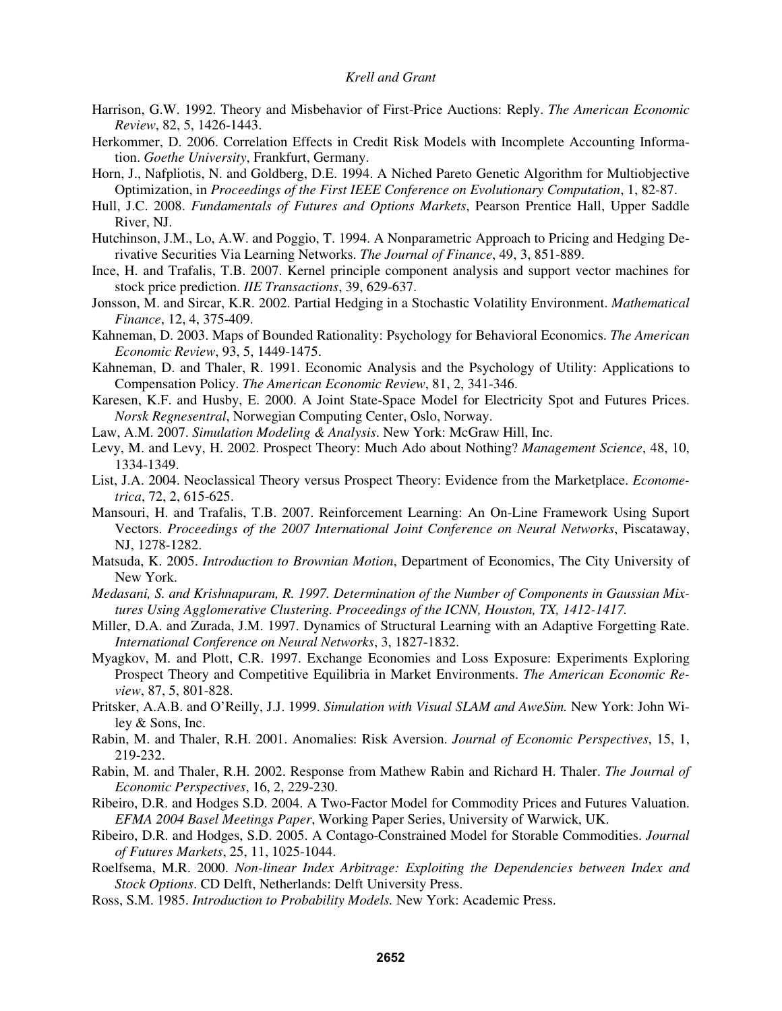- Harrison, G.W. 1992. Theory and Misbehavior of First-Price Auctions: Reply. *The American Economic Review*, 82, 5, 1426-1443.
- Herkommer, D. 2006. Correlation Effects in Credit Risk Models with Incomplete Accounting Information. *Goethe University*, Frankfurt, Germany.
- Horn, J., Nafpliotis, N. and Goldberg, D.E. 1994. A Niched Pareto Genetic Algorithm for Multiobjective Optimization, in *Proceedings of the First IEEE Conference on Evolutionary Computation*, 1, 82-87.
- Hull, J.C. 2008. *Fundamentals of Futures and Options Markets*, Pearson Prentice Hall, Upper Saddle River, NJ.
- Hutchinson, J.M., Lo, A.W. and Poggio, T. 1994. A Nonparametric Approach to Pricing and Hedging Derivative Securities Via Learning Networks. *The Journal of Finance*, 49, 3, 851-889.
- Ince, H. and Trafalis, T.B. 2007. Kernel principle component analysis and support vector machines for stock price prediction. *IIE Transactions*, 39, 629-637.
- Jonsson, M. and Sircar, K.R. 2002. Partial Hedging in a Stochastic Volatility Environment. *Mathematical Finance*, 12, 4, 375-409.
- Kahneman, D. 2003. Maps of Bounded Rationality: Psychology for Behavioral Economics. *The American Economic Review*, 93, 5, 1449-1475.
- Kahneman, D. and Thaler, R. 1991. Economic Analysis and the Psychology of Utility: Applications to Compensation Policy. *The American Economic Review*, 81, 2, 341-346.
- Karesen, K.F. and Husby, E. 2000. A Joint State-Space Model for Electricity Spot and Futures Prices. *Norsk Regnesentral*, Norwegian Computing Center, Oslo, Norway.
- Law, A.M. 2007. *Simulation Modeling & Analysis*. New York: McGraw Hill, Inc.
- Levy, M. and Levy, H. 2002. Prospect Theory: Much Ado about Nothing? *Management Science*, 48, 10, 1334-1349.
- List, J.A. 2004. Neoclassical Theory versus Prospect Theory: Evidence from the Marketplace. *Econometrica*, 72, 2, 615-625.
- Mansouri, H. and Trafalis, T.B. 2007. Reinforcement Learning: An On-Line Framework Using Suport Vectors. *Proceedings of the 2007 International Joint Conference on Neural Networks*, Piscataway, NJ, 1278-1282.
- Matsuda, K. 2005. *Introduction to Brownian Motion*, Department of Economics, The City University of New York.
- *Medasani, S. and Krishnapuram, R. 1997. Determination of the Number of Components in Gaussian Mixtures Using Agglomerative Clustering. Proceedings of the ICNN, Houston, TX, 1412-1417.*
- Miller, D.A. and Zurada, J.M. 1997. Dynamics of Structural Learning with an Adaptive Forgetting Rate. *International Conference on Neural Networks*, 3, 1827-1832.
- Myagkov, M. and Plott, C.R. 1997. Exchange Economies and Loss Exposure: Experiments Exploring Prospect Theory and Competitive Equilibria in Market Environments. *The American Economic Review*, 87, 5, 801-828.
- Pritsker, A.A.B. and O'Reilly, J.J. 1999. *Simulation with Visual SLAM and AweSim.* New York: John Wiley & Sons, Inc.
- Rabin, M. and Thaler, R.H. 2001. Anomalies: Risk Aversion. *Journal of Economic Perspectives*, 15, 1, 219-232.
- Rabin, M. and Thaler, R.H. 2002. Response from Mathew Rabin and Richard H. Thaler. *The Journal of Economic Perspectives*, 16, 2, 229-230.
- Ribeiro, D.R. and Hodges S.D. 2004. A Two-Factor Model for Commodity Prices and Futures Valuation. *EFMA 2004 Basel Meetings Paper*, Working Paper Series, University of Warwick, UK.
- Ribeiro, D.R. and Hodges, S.D. 2005. A Contago-Constrained Model for Storable Commodities. *Journal of Futures Markets*, 25, 11, 1025-1044.
- Roelfsema, M.R. 2000. *Non-linear Index Arbitrage: Exploiting the Dependencies between Index and Stock Options*. CD Delft, Netherlands: Delft University Press.
- Ross, S.M. 1985. *Introduction to Probability Models.* New York: Academic Press.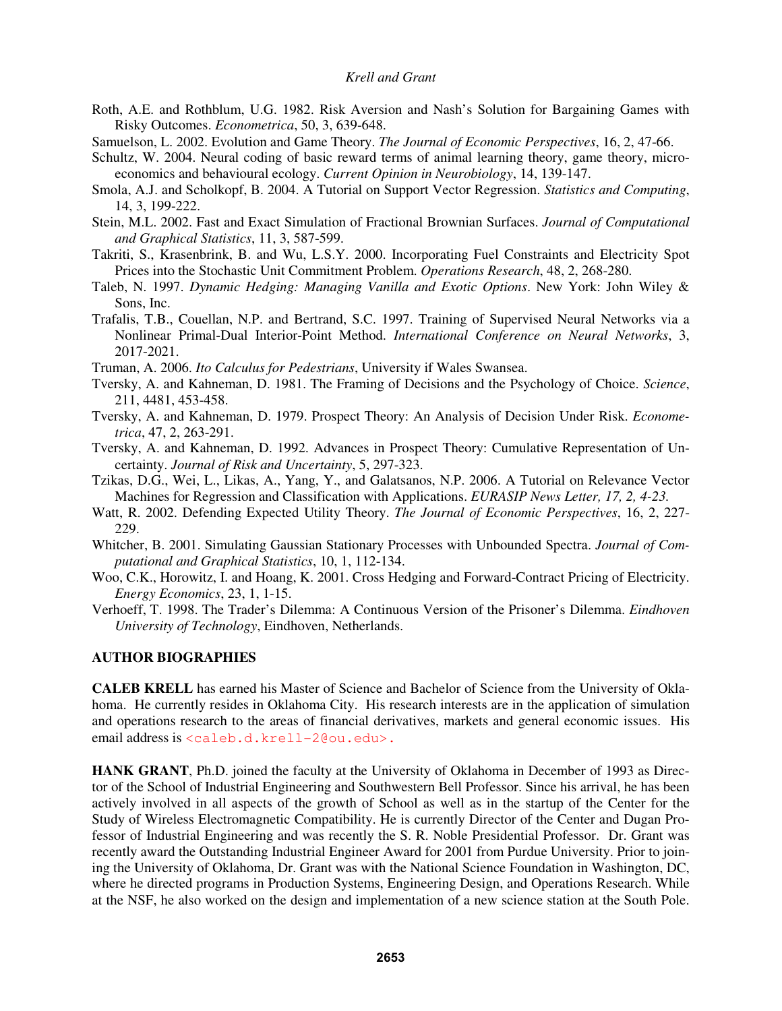- Roth, A.E. and Rothblum, U.G. 1982. Risk Aversion and Nash's Solution for Bargaining Games with Risky Outcomes. *Econometrica*, 50, 3, 639-648.
- Samuelson, L. 2002. Evolution and Game Theory. *The Journal of Economic Perspectives*, 16, 2, 47-66.
- Schultz, W. 2004. Neural coding of basic reward terms of animal learning theory, game theory, microeconomics and behavioural ecology. *Current Opinion in Neurobiology*, 14, 139-147.
- Smola, A.J. and Scholkopf, B. 2004. A Tutorial on Support Vector Regression. *Statistics and Computing*, 14, 3, 199-222.
- Stein, M.L. 2002. Fast and Exact Simulation of Fractional Brownian Surfaces. *Journal of Computational and Graphical Statistics*, 11, 3, 587-599.
- Takriti, S., Krasenbrink, B. and Wu, L.S.Y. 2000. Incorporating Fuel Constraints and Electricity Spot Prices into the Stochastic Unit Commitment Problem. *Operations Research*, 48, 2, 268-280.
- Taleb, N. 1997. *Dynamic Hedging: Managing Vanilla and Exotic Options*. New York: John Wiley & Sons, Inc.
- Trafalis, T.B., Couellan, N.P. and Bertrand, S.C. 1997. Training of Supervised Neural Networks via a Nonlinear Primal-Dual Interior-Point Method. *International Conference on Neural Networks*, 3, 2017-2021.

Truman, A. 2006. *Ito Calculus for Pedestrians*, University if Wales Swansea.

- Tversky, A. and Kahneman, D. 1981. The Framing of Decisions and the Psychology of Choice. *Science*, 211, 4481, 453-458.
- Tversky, A. and Kahneman, D. 1979. Prospect Theory: An Analysis of Decision Under Risk. *Econometrica*, 47, 2, 263-291.
- Tversky, A. and Kahneman, D. 1992. Advances in Prospect Theory: Cumulative Representation of Uncertainty. *Journal of Risk and Uncertainty*, 5, 297-323.
- Tzikas, D.G., Wei, L., Likas, A., Yang, Y., and Galatsanos, N.P. 2006. A Tutorial on Relevance Vector Machines for Regression and Classification with Applications. *EURASIP News Letter, 17, 2, 4-23.*
- Watt, R. 2002. Defending Expected Utility Theory. *The Journal of Economic Perspectives*, 16, 2, 227- 229.
- Whitcher, B. 2001. Simulating Gaussian Stationary Processes with Unbounded Spectra. *Journal of Computational and Graphical Statistics*, 10, 1, 112-134.
- Woo, C.K., Horowitz, I. and Hoang, K. 2001. Cross Hedging and Forward-Contract Pricing of Electricity. *Energy Economics*, 23, 1, 1-15.
- Verhoeff, T. 1998. The Trader's Dilemma: A Continuous Version of the Prisoner's Dilemma. *Eindhoven University of Technology*, Eindhoven, Netherlands.

#### **AUTHOR BIOGRAPHIES**

**CALEB KRELL** has earned his Master of Science and Bachelor of Science from the University of Oklahoma. He currently resides in Oklahoma City. His research interests are in the application of simulation and operations research to the areas of financial derivatives, markets and general economic issues. His email address is <caleb.d.krell-2@ou.edu>.

**HANK GRANT**, Ph.D. joined the faculty at the University of Oklahoma in December of 1993 as Director of the School of Industrial Engineering and Southwestern Bell Professor. Since his arrival, he has been actively involved in all aspects of the growth of School as well as in the startup of the Center for the Study of Wireless Electromagnetic Compatibility. He is currently Director of the Center and Dugan Professor of Industrial Engineering and was recently the S. R. Noble Presidential Professor. Dr. Grant was recently award the Outstanding Industrial Engineer Award for 2001 from Purdue University. Prior to joining the University of Oklahoma, Dr. Grant was with the National Science Foundation in Washington, DC, where he directed programs in Production Systems, Engineering Design, and Operations Research. While at the NSF, he also worked on the design and implementation of a new science station at the South Pole.